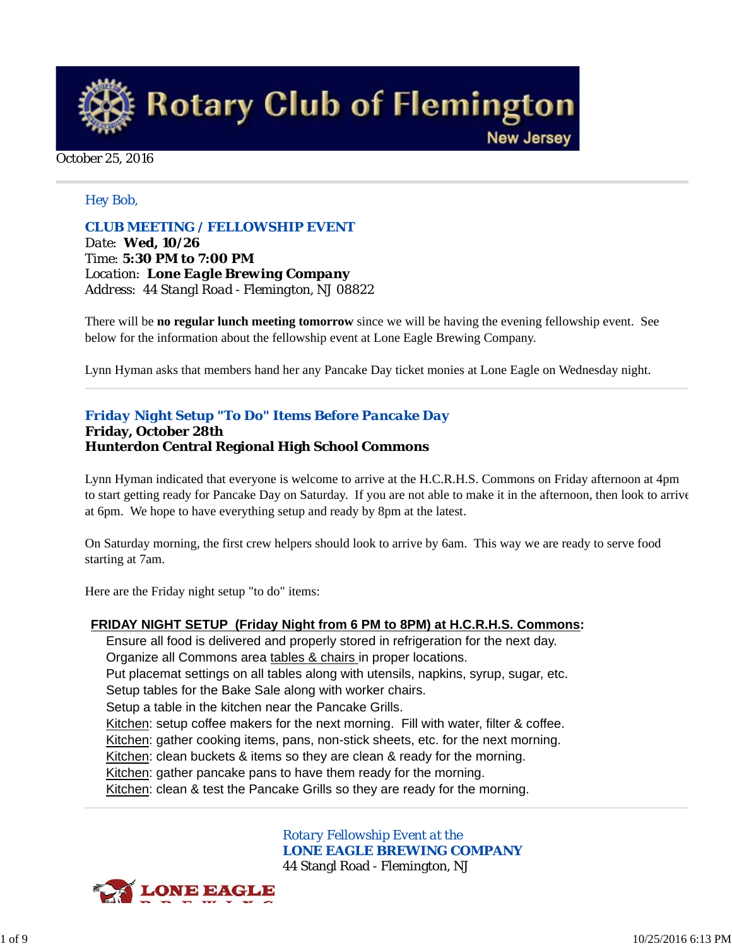**Rotary Club of Flemington** 

**New Jersey** 

#### October 25, 2016

#### *Hey Bob,*

*CLUB MEETING / FELLOWSHIP EVENT Date: Wed, 10/26 Time: 5:30 PM to 7:00 PM Location: Lone Eagle Brewing Company Address: 44 Stangl Road - Flemington, NJ 08822*

There will be **no regular lunch meeting tomorrow** since we will be having the evening fellowship event. See below for the information about the fellowship event at Lone Eagle Brewing Company.

Lynn Hyman asks that members hand her any Pancake Day ticket monies at Lone Eagle on Wednesday night.

# *Friday Night Setup "To Do" Items Before Pancake Day*

#### **Friday, October 28th Hunterdon Central Regional High School Commons**

Lynn Hyman indicated that everyone is welcome to arrive at the H.C.R.H.S. Commons on Friday afternoon at 4pm to start getting ready for Pancake Day on Saturday. If you are not able to make it in the afternoon, then look to arrive at 6pm. We hope to have everything setup and ready by 8pm at the latest.

On Saturday morning, the first crew helpers should look to arrive by 6am. This way we are ready to serve food starting at 7am.

Here are the Friday night setup "to do" items:

#### **FRIDAY NIGHT SETUP (Friday Night from 6 PM to 8PM) at H.C.R.H.S. Commons:**

Ensure all food is delivered and properly stored in refrigeration for the next day. Organize all Commons area tables & chairs in proper locations. Put placemat settings on all tables along with utensils, napkins, syrup, sugar, etc. Setup tables for the Bake Sale along with worker chairs. Setup a table in the kitchen near the Pancake Grills. Kitchen: setup coffee makers for the next morning. Fill with water, filter & coffee. Kitchen: gather cooking items, pans, non-stick sheets, etc. for the next morning. Kitchen: clean buckets & items so they are clean & ready for the morning. Kitchen: gather pancake pans to have them ready for the morning. Kitchen: clean & test the Pancake Grills so they are ready for the morning.

> *Rotary Fellowship Event at the LONE EAGLE BREWING COMPANY* 44 Stangl Road - Flemington, NJ

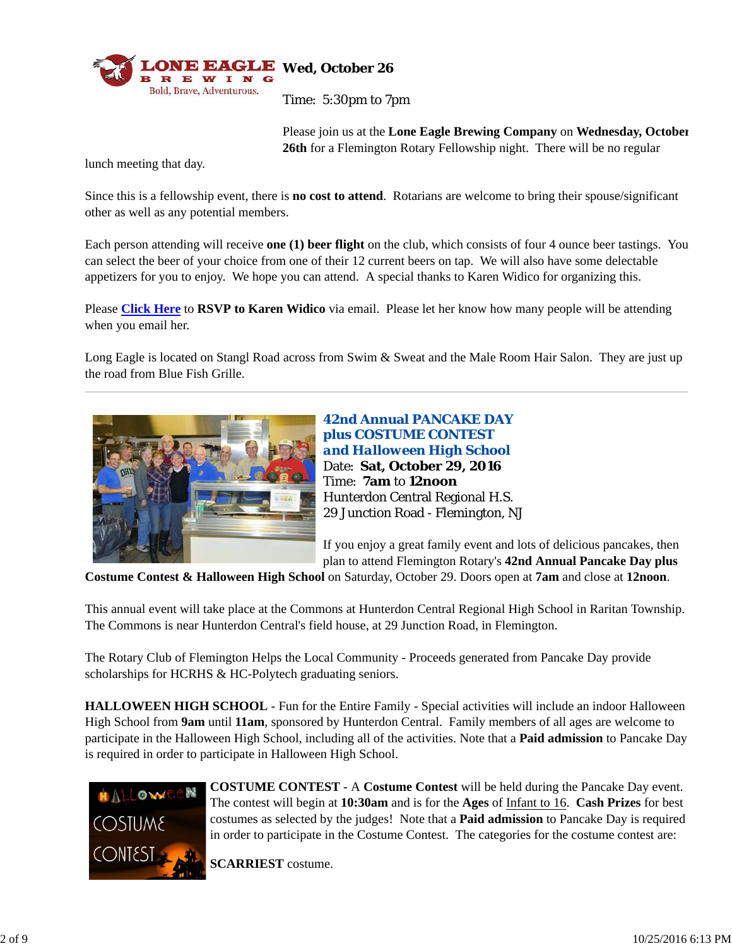

Please join us at the **Lone Eagle Brewing Company** on **Wednesday, October 26th** for a Flemington Rotary Fellowship night. There will be no regular

lunch meeting that day.

Since this is a fellowship event, there is **no cost to attend**. Rotarians are welcome to bring their spouse/significant other as well as any potential members.

Each person attending will receive **one (1) beer flight** on the club, which consists of four 4 ounce beer tastings. You can select the beer of your choice from one of their 12 current beers on tap. We will also have some delectable appetizers for you to enjoy. We hope you can attend. A special thanks to Karen Widico for organizing this.

Please **Click Here** to **RSVP to Karen Widico** via email. Please let her know how many people will be attending when you email her.

Long Eagle is located on Stangl Road across from Swim & Sweat and the Male Room Hair Salon. They are just up the road from Blue Fish Grille.



**42nd Annual PANCAKE DAY plus COSTUME CONTEST**  *and Halloween High School* Date: **Sat, October 29, 2016** Time: **7am** to **12noon** Hunterdon Central Regional H.S. 29 Junction Road - Flemington, NJ

If you enjoy a great family event and lots of delicious pancakes, then plan to attend Flemington Rotary's **42nd Annual Pancake Day plus**

**Costume Contest & Halloween High School** on Saturday, October 29. Doors open at **7am** and close at **12noon**.

This annual event will take place at the Commons at Hunterdon Central Regional High School in Raritan Township. The Commons is near Hunterdon Central's field house, at 29 Junction Road, in Flemington.

The Rotary Club of Flemington Helps the Local Community - Proceeds generated from Pancake Day provide scholarships for HCRHS & HC-Polytech graduating seniors.

**HALLOWEEN HIGH SCHOOL** - Fun for the Entire Family - Special activities will include an indoor Halloween High School from **9am** until **11am**, sponsored by Hunterdon Central. Family members of all ages are welcome to participate in the Halloween High School, including all of the activities. Note that a **Paid admission** to Pancake Day is required in order to participate in Halloween High School.



**COSTUME CONTEST** - A **Costume Contest** will be held during the Pancake Day event. The contest will begin at **10:30am** and is for the **Ages** of Infant to 16. **Cash Prizes** for best costumes as selected by the judges! Note that a **Paid admission** to Pancake Day is required in order to participate in the Costume Contest. The categories for the costume contest are:

**SCARRIEST** costume.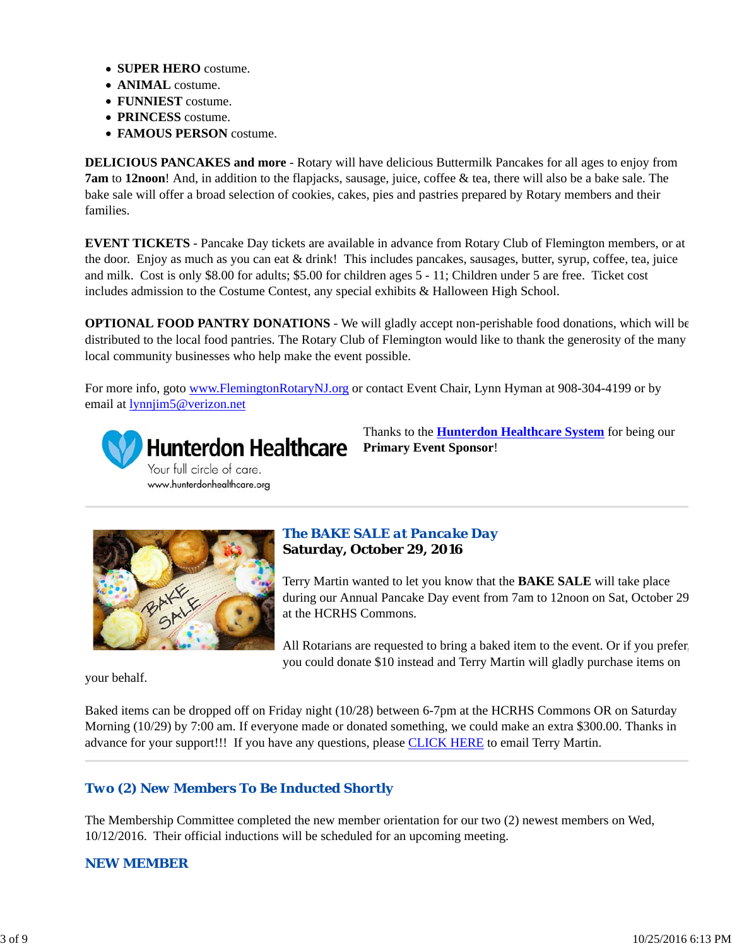- **SUPER HERO** costume.
- **ANIMAL** costume.
- **FUNNIEST** costume.
- **PRINCESS** costume.
- **FAMOUS PERSON** costume.

**DELICIOUS PANCAKES and more** - Rotary will have delicious Buttermilk Pancakes for all ages to enjoy from **7am** to **12noon**! And, in addition to the flapjacks, sausage, juice, coffee & tea, there will also be a bake sale. The bake sale will offer a broad selection of cookies, cakes, pies and pastries prepared by Rotary members and their families.

**EVENT TICKETS** - Pancake Day tickets are available in advance from Rotary Club of Flemington members, or at the door. Enjoy as much as you can eat & drink! This includes pancakes, sausages, butter, syrup, coffee, tea, juice and milk. Cost is only \$8.00 for adults; \$5.00 for children ages 5 - 11; Children under 5 are free. Ticket cost includes admission to the Costume Contest, any special exhibits & Halloween High School.

**OPTIONAL FOOD PANTRY DONATIONS** - We will gladly accept non-perishable food donations, which will be distributed to the local food pantries. The Rotary Club of Flemington would like to thank the generosity of the many local community businesses who help make the event possible.

For more info, goto www.FlemingtonRotaryNJ.org or contact Event Chair, Lynn Hyman at 908-304-4199 or by email at lynnjim5@verizon.net



Thanks to the **Hunterdon Healthcare System** for being our **Primary Event Sponsor**!



#### *The BAKE SALE at Pancake Day* **Saturday, October 29, 2016**

Terry Martin wanted to let you know that the **BAKE SALE** will take place during our Annual Pancake Day event from 7am to 12noon on Sat, October 29 at the HCRHS Commons.

All Rotarians are requested to bring a baked item to the event. Or if you prefer, you could donate \$10 instead and Terry Martin will gladly purchase items on

your behalf.

Baked items can be dropped off on Friday night (10/28) between 6-7pm at the HCRHS Commons OR on Saturday Morning (10/29) by 7:00 am. If everyone made or donated something, we could make an extra \$300.00. Thanks in advance for your support!!! If you have any questions, please CLICK HERE to email Terry Martin.

# *Two (2) New Members To Be Inducted Shortly*

The Membership Committee completed the new member orientation for our two (2) newest members on Wed, 10/12/2016. Their official inductions will be scheduled for an upcoming meeting.

# *NEW MEMBER*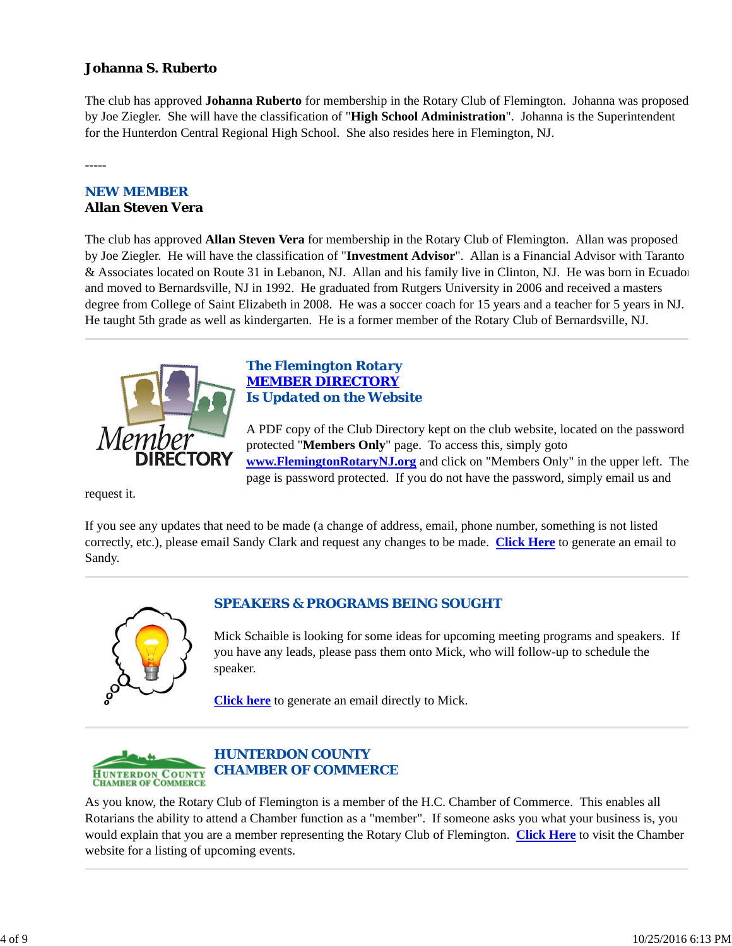# **Johanna S. Ruberto**

The club has approved **Johanna Ruberto** for membership in the Rotary Club of Flemington. Johanna was proposed by Joe Ziegler. She will have the classification of "**High School Administration**". Johanna is the Superintendent for the Hunterdon Central Regional High School. She also resides here in Flemington, NJ.

-----

# *NEW MEMBER* **Allan Steven Vera**

The club has approved **Allan Steven Vera** for membership in the Rotary Club of Flemington. Allan was proposed by Joe Ziegler. He will have the classification of "**Investment Advisor**". Allan is a Financial Advisor with Taranto & Associates located on Route 31 in Lebanon, NJ. Allan and his family live in Clinton, NJ. He was born in Ecuador and moved to Bernardsville, NJ in 1992. He graduated from Rutgers University in 2006 and received a masters degree from College of Saint Elizabeth in 2008. He was a soccer coach for 15 years and a teacher for 5 years in NJ. He taught 5th grade as well as kindergarten. He is a former member of the Rotary Club of Bernardsville, NJ.



# *The Flemington Rotary MEMBER DIRECTORY Is Updated on the Website*

A PDF copy of the Club Directory kept on the club website, located on the password protected "**Members Only**" page. To access this, simply goto **www.FlemingtonRotaryNJ.org** and click on "Members Only" in the upper left. The page is password protected. If you do not have the password, simply email us and

request it.

If you see any updates that need to be made (a change of address, email, phone number, something is not listed correctly, etc.), please email Sandy Clark and request any changes to be made. **Click Here** to generate an email to Sandy.



# *SPEAKERS & PROGRAMS BEING SOUGHT*

Mick Schaible is looking for some ideas for upcoming meeting programs and speakers. If you have any leads, please pass them onto Mick, who will follow-up to schedule the speaker.

**Click here** to generate an email directly to Mick.



# *HUNTERDON COUNTY CHAMBER OF COMMERCE*

As you know, the Rotary Club of Flemington is a member of the H.C. Chamber of Commerce. This enables all Rotarians the ability to attend a Chamber function as a "member". If someone asks you what your business is, you would explain that you are a member representing the Rotary Club of Flemington. **Click Here** to visit the Chamber website for a listing of upcoming events.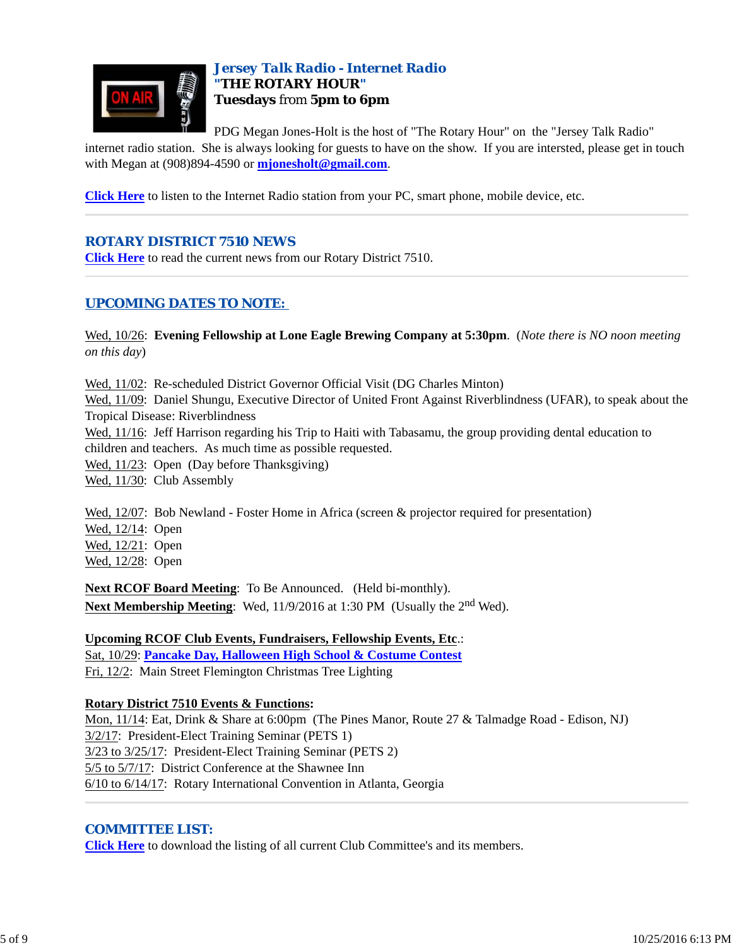

# *Jersey Talk Radio - Internet Radio "THE ROTARY HOUR"* **Tuesdays** from **5pm to 6pm**

PDG Megan Jones-Holt is the host of "The Rotary Hour" on the "Jersey Talk Radio"

internet radio station. She is always looking for guests to have on the show. If you are intersted, please get in touch with Megan at (908)894-4590 or **mjonesholt@gmail.com**.

**Click Here** to listen to the Internet Radio station from your PC, smart phone, mobile device, etc.

# *ROTARY DISTRICT 7510 NEWS*

**Click Here** to read the current news from our Rotary District 7510.

# *UPCOMING DATES TO NOTE:*

Wed, 10/26: **Evening Fellowship at Lone Eagle Brewing Company at 5:30pm**. (*Note there is NO noon meeting on this day*)

Wed, 11/02: Re-scheduled District Governor Official Visit (DG Charles Minton)

Wed, 11/09: Daniel Shungu, Executive Director of United Front Against Riverblindness (UFAR), to speak about the Tropical Disease: Riverblindness

Wed, 11/16: Jeff Harrison regarding his Trip to Haiti with Tabasamu, the group providing dental education to children and teachers. As much time as possible requested.

Wed, 11/23: Open (Day before Thanksgiving)

Wed, 11/30: Club Assembly

Wed, 12/07: Bob Newland - Foster Home in Africa (screen & projector required for presentation)

Wed, 12/14: Open

Wed, 12/21: Open

Wed, 12/28: Open

**Next RCOF Board Meeting**: To Be Announced. (Held bi-monthly). **Next Membership Meeting:** Wed, 11/9/2016 at 1:30 PM (Usually the 2<sup>nd</sup> Wed).

#### **Upcoming RCOF Club Events, Fundraisers, Fellowship Events, Etc**.:

Sat, 10/29: **Pancake Day, Halloween High School & Costume Contest** Fri, 12/2: Main Street Flemington Christmas Tree Lighting

# **Rotary District 7510 Events & Functions:**

Mon, 11/14: Eat, Drink & Share at 6:00pm (The Pines Manor, Route 27 & Talmadge Road - Edison, NJ) 3/2/17: President-Elect Training Seminar (PETS 1) 3/23 to 3/25/17: President-Elect Training Seminar (PETS 2) 5/5 to 5/7/17: District Conference at the Shawnee Inn 6/10 to 6/14/17: Rotary International Convention in Atlanta, Georgia

# *COMMITTEE LIST:*

**Click Here** to download the listing of all current Club Committee's and its members.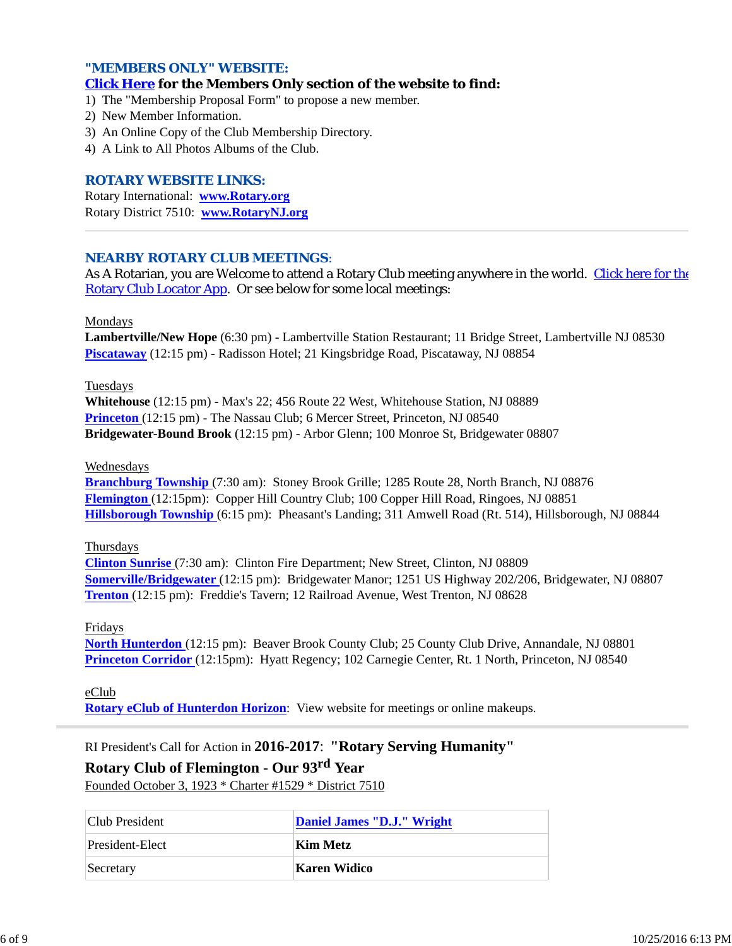#### *"MEMBERS ONLY" WEBSITE:*

#### **Click Here for the Members Only section of the website to find:**

1) The "Membership Proposal Form" to propose a new member.

- 2) New Member Information.
- 3) An Online Copy of the Club Membership Directory.
- 4) A Link to All Photos Albums of the Club.

#### *ROTARY WEBSITE LINKS:*

Rotary International: **www.Rotary.org** Rotary District 7510: **www.RotaryNJ.org**

#### *NEARBY ROTARY CLUB MEETINGS:*

As A Rotarian, you are Welcome to attend a Rotary Club meeting anywhere in the world. Click here for the Rotary Club Locator App. Or see below for some local meetings:

Mondays

**Lambertville/New Hope** (6:30 pm) - Lambertville Station Restaurant; 11 Bridge Street, Lambertville NJ 08530 **Piscataway** (12:15 pm) - Radisson Hotel; 21 Kingsbridge Road, Piscataway, NJ 08854

Tuesdays

**Whitehouse** (12:15 pm) - Max's 22; 456 Route 22 West, Whitehouse Station, NJ 08889 **Princeton** (12:15 pm) - The Nassau Club; 6 Mercer Street, Princeton, NJ 08540 **Bridgewater-Bound Brook** (12:15 pm) - Arbor Glenn; 100 Monroe St, Bridgewater 08807

#### Wednesdays

**Branchburg Township** (7:30 am): Stoney Brook Grille; 1285 Route 28, North Branch, NJ 08876 **Flemington** (12:15pm): Copper Hill Country Club; 100 Copper Hill Road, Ringoes, NJ 08851 **Hillsborough Township** (6:15 pm): Pheasant's Landing; 311 Amwell Road (Rt. 514), Hillsborough, NJ 08844

#### Thursdays

**Clinton Sunrise** (7:30 am): Clinton Fire Department; New Street, Clinton, NJ 08809 **Somerville/Bridgewater** (12:15 pm): Bridgewater Manor; 1251 US Highway 202/206, Bridgewater, NJ 08807 **Trenton** (12:15 pm): Freddie's Tavern; 12 Railroad Avenue, West Trenton, NJ 08628

#### Fridays

North Hunterdon (12:15 pm): Beaver Brook County Club; 25 County Club Drive, Annandale, NJ 08801 **Princeton Corridor** (12:15pm): Hyatt Regency; 102 Carnegie Center, Rt. 1 North, Princeton, NJ 08540

eClub

**Rotary eClub of Hunterdon Horizon**: View website for meetings or online makeups.

RI President's Call for Action in **2016-2017**: **"Rotary Serving Humanity"**

# **Rotary Club of Flemington - Our 93rd Year**

Founded October 3, 1923 \* Charter #1529 \* District 7510

| Club President  | Daniel James "D.J." Wright |
|-----------------|----------------------------|
| President-Elect | Kim Metz                   |
| Secretary       | Karen Widico               |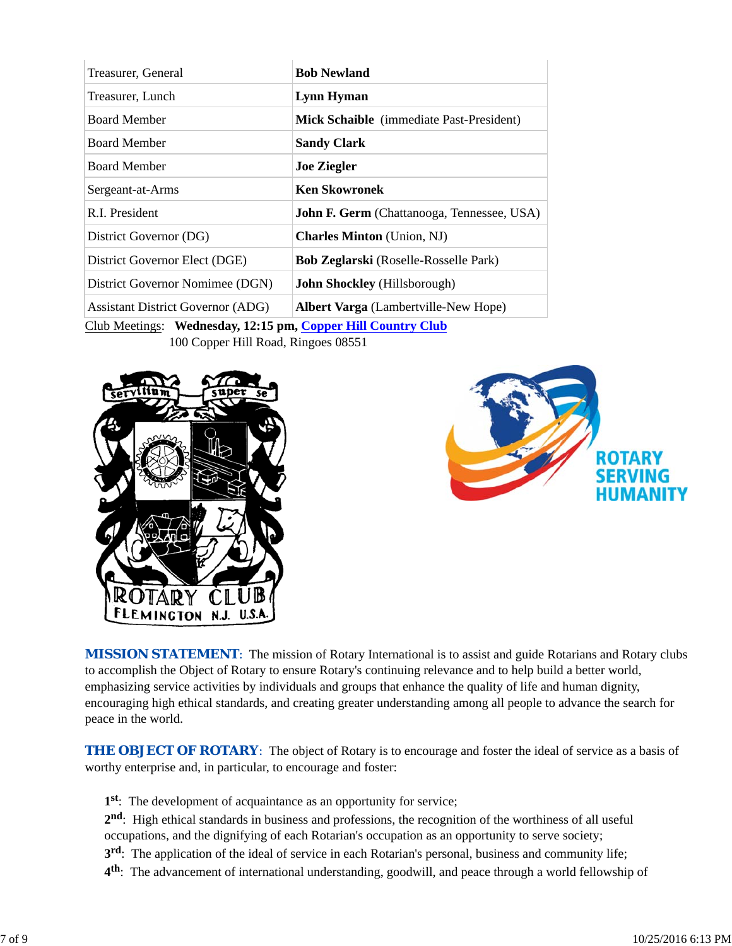| Treasurer, General                                           | <b>Bob Newland</b>                                |  |
|--------------------------------------------------------------|---------------------------------------------------|--|
| Treasurer, Lunch                                             | Lynn Hyman                                        |  |
| <b>Board Member</b>                                          | Mick Schaible (immediate Past-President)          |  |
| <b>Board Member</b>                                          | <b>Sandy Clark</b>                                |  |
| <b>Board Member</b>                                          | <b>Joe Ziegler</b>                                |  |
| Sergeant-at-Arms                                             | <b>Ken Skowronek</b>                              |  |
| R.I. President                                               | <b>John F. Germ</b> (Chattanooga, Tennessee, USA) |  |
| District Governor (DG)                                       | <b>Charles Minton</b> (Union, NJ)                 |  |
| District Governor Elect (DGE)                                | <b>Bob Zeglarski</b> (Roselle-Rosselle Park)      |  |
| District Governor Nomimee (DGN)                              | <b>John Shockley</b> (Hillsborough)               |  |
| <b>Assistant District Governor (ADG)</b>                     | <b>Albert Varga</b> (Lambertville-New Hope)       |  |
| Club Meetings: Wednesday, 12:15 pm, Copper Hill Country Club |                                                   |  |

100 Copper Hill Road, Ringoes 08551





**MISSION STATEMENT:** The mission of Rotary International is to assist and guide Rotarians and Rotary clubs to accomplish the Object of Rotary to ensure Rotary's continuing relevance and to help build a better world, emphasizing service activities by individuals and groups that enhance the quality of life and human dignity, encouraging high ethical standards, and creating greater understanding among all people to advance the search for peace in the world.

**THE OBJECT OF ROTARY**: The object of Rotary is to encourage and foster the ideal of service as a basis of worthy enterprise and, in particular, to encourage and foster:

- **1st**: The development of acquaintance as an opportunity for service;
- **2nd**: High ethical standards in business and professions, the recognition of the worthiness of all useful occupations, and the dignifying of each Rotarian's occupation as an opportunity to serve society;
- **3rd**: The application of the ideal of service in each Rotarian's personal, business and community life;
- **4th**: The advancement of international understanding, goodwill, and peace through a world fellowship of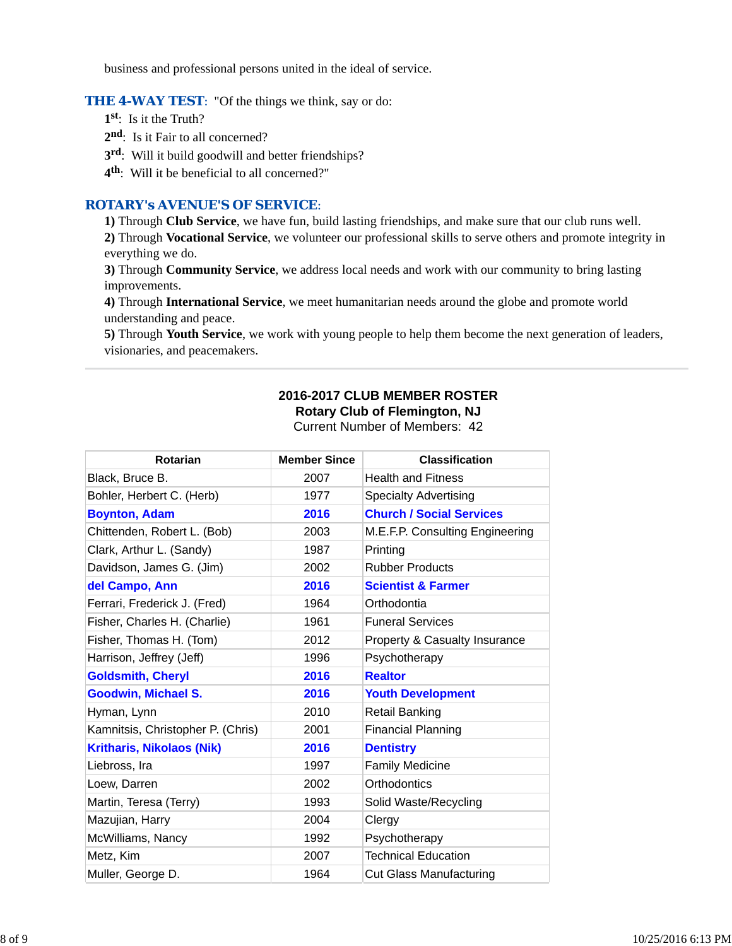business and professional persons united in the ideal of service.

#### **THE 4-WAY TEST:** "Of the things we think, say or do:

**1st**: Is it the Truth?

**2nd**: Is it Fair to all concerned?

**3rd**: Will it build goodwill and better friendships?

**4th**: Will it be beneficial to all concerned?"

### *ROTARY's AVENUE'S OF SERVICE*:

**1)** Through **Club Service**, we have fun, build lasting friendships, and make sure that our club runs well.

**2)** Through **Vocational Service**, we volunteer our professional skills to serve others and promote integrity in everything we do.

**3)** Through **Community Service**, we address local needs and work with our community to bring lasting improvements.

**4)** Through **International Service**, we meet humanitarian needs around the globe and promote world understanding and peace.

**5)** Through **Youth Service**, we work with young people to help them become the next generation of leaders, visionaries, and peacemakers.

#### **2016-2017 CLUB MEMBER ROSTER Rotary Club of Flemington, NJ**

Current Number of Members: 42

| Rotarian                          | <b>Member Since</b> | <b>Classification</b>           |
|-----------------------------------|---------------------|---------------------------------|
| Black, Bruce B.                   | 2007                | <b>Health and Fitness</b>       |
| Bohler, Herbert C. (Herb)         | 1977                | <b>Specialty Advertising</b>    |
| <b>Boynton, Adam</b>              | 2016                | <b>Church / Social Services</b> |
| Chittenden, Robert L. (Bob)       | 2003                | M.E.F.P. Consulting Engineering |
| Clark, Arthur L. (Sandy)          | 1987                | Printing                        |
| Davidson, James G. (Jim)          | 2002                | <b>Rubber Products</b>          |
| del Campo, Ann                    | 2016                | <b>Scientist &amp; Farmer</b>   |
| Ferrari, Frederick J. (Fred)      | 1964                | Orthodontia                     |
| Fisher, Charles H. (Charlie)      | 1961                | <b>Funeral Services</b>         |
| Fisher, Thomas H. (Tom)           | 2012                | Property & Casualty Insurance   |
| Harrison, Jeffrey (Jeff)          | 1996                | Psychotherapy                   |
| <b>Goldsmith, Cheryl</b>          | 2016                | <b>Realtor</b>                  |
| <b>Goodwin, Michael S.</b>        | 2016                | <b>Youth Development</b>        |
| Hyman, Lynn                       | 2010                | <b>Retail Banking</b>           |
| Kamnitsis, Christopher P. (Chris) | 2001                | <b>Financial Planning</b>       |
| <b>Kritharis, Nikolaos (Nik)</b>  | 2016                | <b>Dentistry</b>                |
| Liebross, Ira                     | 1997                | <b>Family Medicine</b>          |
| Loew, Darren                      | 2002                | Orthodontics                    |
| Martin, Teresa (Terry)            | 1993                | Solid Waste/Recycling           |
| Mazujian, Harry                   | 2004                | Clergy                          |
| McWilliams, Nancy                 | 1992                | Psychotherapy                   |
| Metz, Kim                         | 2007                | <b>Technical Education</b>      |
| Muller, George D.                 | 1964                | <b>Cut Glass Manufacturing</b>  |